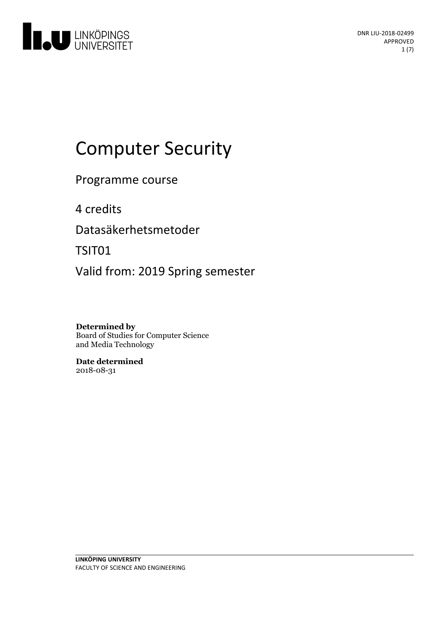

# Computer Security

Programme course

4 credits

Datasäkerhetsmetoder

TSIT01

Valid from: 2019 Spring semester

**Determined by** Board of Studies for Computer Science and Media Technology

**Date determined** 2018-08-31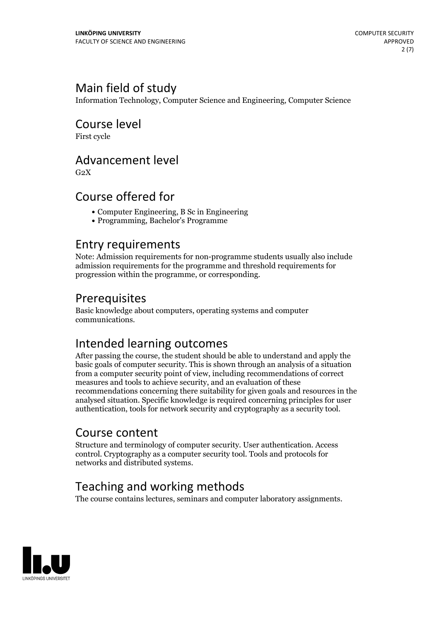# Main field of study

Information Technology, Computer Science and Engineering, Computer Science

Course level First cycle

Advancement level

 $G<sub>2</sub>X$ 

## Course offered for

- Computer Engineering, B Sc in Engineering
- Programming, Bachelor's Programme

### Entry requirements

Note: Admission requirements for non-programme students usually also include admission requirements for the programme and threshold requirements for progression within the programme, or corresponding.

## Prerequisites

Basic knowledge about computers, operating systems and computer communications.

# Intended learning outcomes

After passing the course, the student should be able to understand and apply the basic goals of computer security. This is shown through an analysis of a situation from a computer security point of view, including recommendations of correct measures and tools to achieve security, and an evaluation of these recommendations concerning there suitability for given goals and resources in the analysed situation. Specific knowledge is required concerning principles for user authentication, tools for network security and cryptography as a security tool.

### Course content

Structure and terminology of computer security. User authentication. Access control. Cryptography as a computer security tool. Tools and protocols for networks and distributed systems.

# Teaching and working methods

The course contains lectures, seminars and computer laboratory assignments.

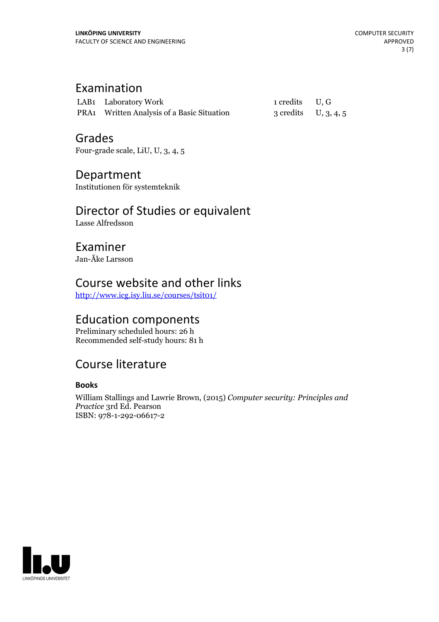# Examination

| LAB1 Laboratory Work                       | 1 credits U, G         |  |
|--------------------------------------------|------------------------|--|
| PRA1 Written Analysis of a Basic Situation | 3 credits $U, 3, 4, 5$ |  |

### Grades

Four-grade scale, LiU, U, 3, 4, 5

### Department

Institutionen för systemteknik

# Director of Studies or equivalent

Lasse Alfredsson

### Examiner Jan-Åke Larsson

# Course website and other links

<http://www.icg.isy.liu.se/courses/tsit01/>

# Education components

Preliminary scheduled hours: 26 h Recommended self-study hours: 81 h

## Course literature

### **Books**

William Stallings and Lawrie Brown, (2015) *Computer security: Principles and Practice* 3rd Ed. Pearson ISBN: 978-1-292-06617-2

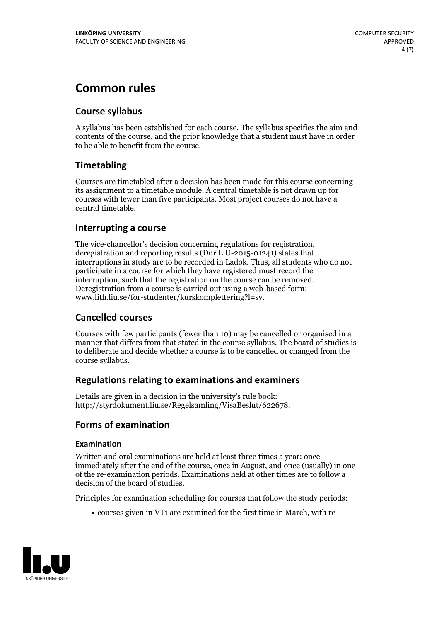# **Common rules**

### **Course syllabus**

A syllabus has been established for each course. The syllabus specifies the aim and contents of the course, and the prior knowledge that a student must have in order to be able to benefit from the course.

### **Timetabling**

Courses are timetabled after a decision has been made for this course concerning its assignment to a timetable module. A central timetable is not drawn up for courses with fewer than five participants. Most project courses do not have a central timetable.

### **Interrupting a course**

The vice-chancellor's decision concerning regulations for registration, deregistration and reporting results (Dnr LiU-2015-01241) states that interruptions in study are to be recorded in Ladok. Thus, all students who do not participate in a course for which they have registered must record the interruption, such that the registration on the course can be removed. Deregistration from <sup>a</sup> course is carried outusing <sup>a</sup> web-based form: www.lith.liu.se/for-studenter/kurskomplettering?l=sv.

### **Cancelled courses**

Courses with few participants (fewer than 10) may be cancelled or organised in a manner that differs from that stated in the course syllabus. The board of studies is to deliberate and decide whether a course is to be cancelled orchanged from the course syllabus.

### **Regulations relatingto examinations and examiners**

Details are given in a decision in the university's rule book: http://styrdokument.liu.se/Regelsamling/VisaBeslut/622678.

### **Forms of examination**

#### **Examination**

Written and oral examinations are held at least three times a year: once immediately after the end of the course, once in August, and once (usually) in one of the re-examination periods. Examinations held at other times are to follow a decision of the board of studies.

Principles for examination scheduling for courses that follow the study periods:

courses given in VT1 are examined for the first time in March, with re-

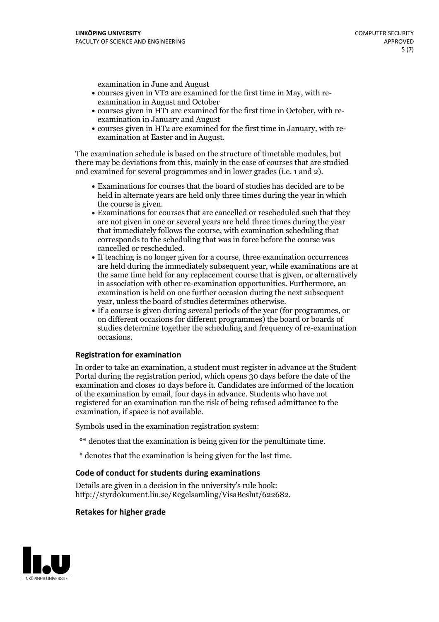examination in June and August

- courses given in VT2 are examined for the first time in May, with re-examination in August and October
- courses given in HT1 are examined for the first time in October, with re-examination in January and August
- courses given in HT2 are examined for the first time in January, with re-examination at Easter and in August.

The examination schedule is based on the structure of timetable modules, but there may be deviations from this, mainly in the case of courses that are studied and examined for several programmes and in lower grades (i.e. 1 and 2).

- Examinations for courses that the board of studies has decided are to be held in alternate years are held only three times during the year in which
- the course is given.<br>• Examinations for courses that are cancelled or rescheduled such that they are not given in one or several years are held three times during the year that immediately follows the course, with examination scheduling that corresponds to the scheduling that was in force before the course was cancelled or rescheduled.<br>• If teaching is no longer given for a course, three examination occurrences
- are held during the immediately subsequent year, while examinations are at the same time held for any replacement course that is given, or alternatively in association with other re-examination opportunities. Furthermore, an examination is held on one further occasion during the next subsequent year, unless the board of studies determines otherwise.<br>• If a course is given during several periods of the year (for programmes, or
- on different occasions for different programmes) the board orboards of studies determine together the scheduling and frequency of re-examination occasions.

#### **Registration for examination**

In order to take an examination, a student must register in advance at the Student Portal during the registration period, which opens 30 days before the date of the examination and closes 10 days before it. Candidates are informed of the location of the examination by email, four days in advance. Students who have not registered for an examination run the risk of being refused admittance to the examination, if space is not available.

Symbols used in the examination registration system:

- \*\* denotes that the examination is being given for the penultimate time.
- \* denotes that the examination is being given for the last time.

#### **Code of conduct for students during examinations**

Details are given in a decision in the university's rule book: http://styrdokument.liu.se/Regelsamling/VisaBeslut/622682.

#### **Retakes for higher grade**

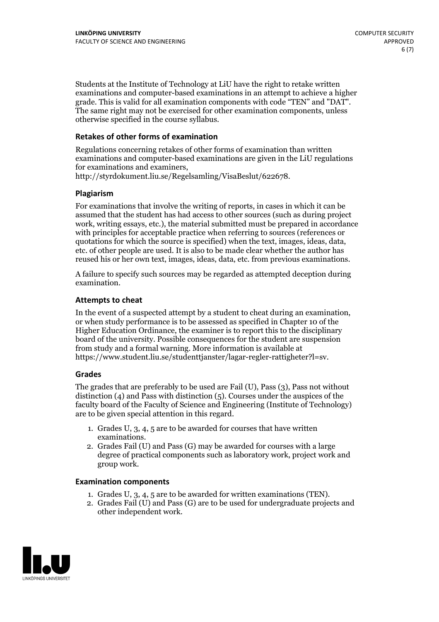Students at the Institute of Technology at LiU have the right to retake written examinations and computer-based examinations in an attempt to achieve a higher grade. This is valid for all examination components with code "TEN" and "DAT". The same right may not be exercised for other examination components, unless otherwise specified in the course syllabus.

#### **Retakes of other forms of examination**

Regulations concerning retakes of other forms of examination than written examinations and computer-based examinations are given in the LiU regulations for examinations and examiners, http://styrdokument.liu.se/Regelsamling/VisaBeslut/622678.

#### **Plagiarism**

For examinations that involve the writing of reports, in cases in which it can be assumed that the student has had access to other sources (such as during project work, writing essays, etc.), the material submitted must be prepared in accordance with principles for acceptable practice when referring to sources (references or quotations for which the source is specified) when the text, images, ideas, data, etc. of other people are used. It is also to be made clear whether the author has reused his or her own text, images, ideas, data, etc. from previous examinations.

A failure to specify such sources may be regarded as attempted deception during examination.

#### **Attempts to cheat**

In the event of <sup>a</sup> suspected attempt by <sup>a</sup> student to cheat during an examination, or when study performance is to be assessed as specified in Chapter <sup>10</sup> of the Higher Education Ordinance, the examiner is to report this to the disciplinary board of the university. Possible consequences for the student are suspension from study and a formal warning. More information is available at https://www.student.liu.se/studenttjanster/lagar-regler-rattigheter?l=sv.

#### **Grades**

The grades that are preferably to be used are Fail (U), Pass (3), Pass not without distinction  $(4)$  and Pass with distinction  $(5)$ . Courses under the auspices of the faculty board of the Faculty of Science and Engineering (Institute of Technology) are to be given special attention in this regard.

- 1. Grades U, 3, 4, 5 are to be awarded for courses that have written
- examinations. 2. Grades Fail (U) and Pass (G) may be awarded for courses with <sup>a</sup> large degree of practical components such as laboratory work, project work and group work.

#### **Examination components**

- 
- 1. Grades U, 3, 4, <sup>5</sup> are to be awarded for written examinations (TEN). 2. Grades Fail (U) and Pass (G) are to be used for undergraduate projects and other independent work.